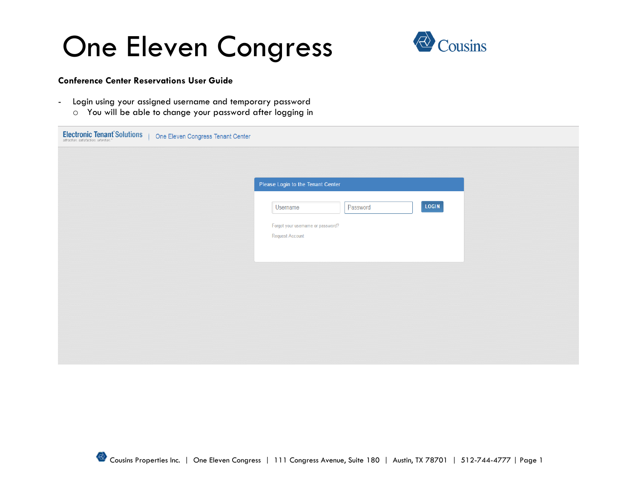

### **Conference Center Reservations User Guide**

- Login using your assigned username and temporary password
	- o You will be able to change your password after logging in

| <b>Electronic Tenant Solutions</b><br>One Eleven Congress Tenant Center |                                                             |
|-------------------------------------------------------------------------|-------------------------------------------------------------|
|                                                                         |                                                             |
|                                                                         | Please Login to the Tenant Center                           |
|                                                                         |                                                             |
|                                                                         | LOGIN<br>Password<br>Username                               |
|                                                                         | Forgot your username or password?<br><b>Request Account</b> |
|                                                                         |                                                             |
|                                                                         |                                                             |
|                                                                         |                                                             |
|                                                                         |                                                             |
|                                                                         |                                                             |
|                                                                         |                                                             |
|                                                                         |                                                             |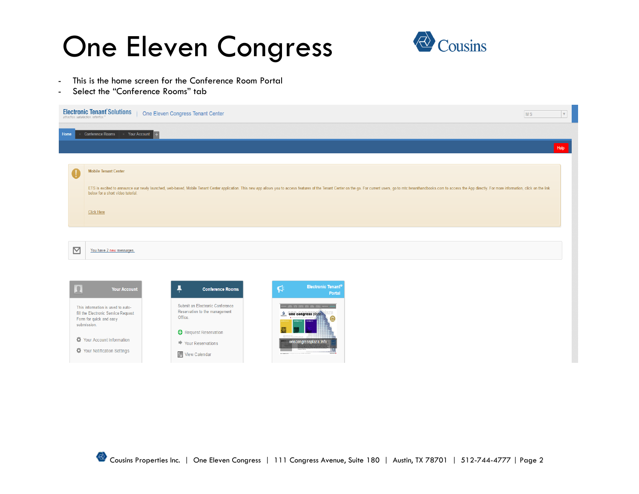

- This is the home screen for the Conference Room Portal
- Select the "Conference Rooms" tab

|      |             | <b>Electronic Tenant Solutions</b>                                                                  | One Eleven Congress Tenant Center                                                                                                                                                                                              | <b>MS</b> | $\mathbf v$ |
|------|-------------|-----------------------------------------------------------------------------------------------------|--------------------------------------------------------------------------------------------------------------------------------------------------------------------------------------------------------------------------------|-----------|-------------|
| Home |             | <b>Conference Rooms</b><br>Your Account                                                             |                                                                                                                                                                                                                                |           |             |
|      |             |                                                                                                     |                                                                                                                                                                                                                                |           | Help        |
|      |             | <b>Mobile Tenant Center</b>                                                                         |                                                                                                                                                                                                                                |           |             |
|      |             | below for a short video tutorial.                                                                   | ETS is excited to announce our newly launched, web-based, Mobile Tenant Center application. This new app allows you to access features of the Tenant Center on the go. For current users, go to mtc.tenanthandbooks.com to acc |           |             |
|      |             | <b>Click Here</b>                                                                                   |                                                                                                                                                                                                                                |           |             |
|      |             |                                                                                                     |                                                                                                                                                                                                                                |           |             |
|      | $\boxtimes$ | You have 2 new messages.                                                                            |                                                                                                                                                                                                                                |           |             |
|      |             |                                                                                                     |                                                                                                                                                                                                                                |           |             |
|      | l o         | <b>Your Account</b>                                                                                 | Electronic Tenant <sup>®</sup><br>$\mathsf{R}^2$<br>Ŧ<br><b>Conference Rooms</b><br>Portal                                                                                                                                     |           |             |
|      | submission. | This information is used to auto-<br>fill the Electronic Service Request<br>Form for quick and easy | Submit an Electronic Conference<br>revenues today hadry growing hadry hadry points appeared and<br>Reservation to the management<br>2 one congress plaza<br>Office.                                                            |           |             |
|      |             | Your Account Information<br>Your Notification Settings                                              | Request Reservation<br>onecongressplaza.info<br>Your Reservations<br>嚩<br>View Calendar                                                                                                                                        |           |             |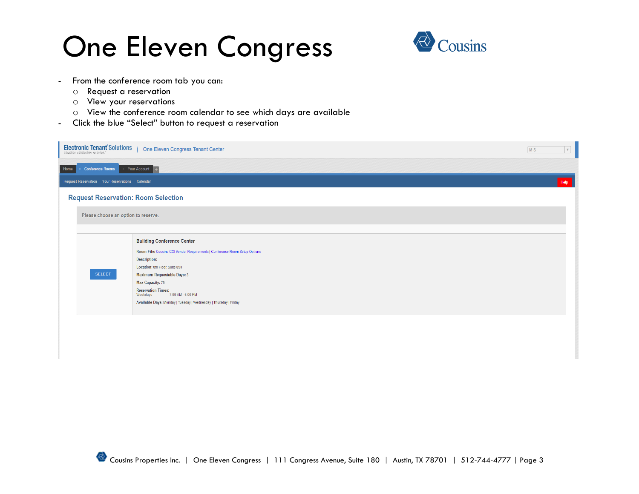

- From the conference room tab you can:
	- o Request a reservation
	- o View your reservations
	- o View the conference room calendar to see which days are available
- Click the blue "Select" button to request a reservation

|      | <b>Electronic Tenant Solutions</b><br>attraction, satisfaction, retention." | One Eleven Congress Tenant Center                                          | MS | $\mathbf v$ |
|------|-----------------------------------------------------------------------------|----------------------------------------------------------------------------|----|-------------|
| Home | <b>Conference Rooms</b>                                                     | Your Account                                                               |    |             |
|      | Request Reservation Your Reservations Calendar                              |                                                                            |    | Help        |
|      | <b>Request Reservation: Room Selection</b>                                  |                                                                            |    |             |
|      | Please choose an option to reserve.                                         |                                                                            |    |             |
|      |                                                                             |                                                                            |    |             |
|      |                                                                             | <b>Building Conference Center</b>                                          |    |             |
|      |                                                                             | Room File: Cousins COI Vendor Requirements   Conference Room Setup Options |    |             |
|      |                                                                             |                                                                            |    |             |
|      | <b>SELECT</b>                                                               | <b>Maximum Requestable Days: 3</b>                                         |    |             |
|      |                                                                             | <b>Max Capacity: 75</b>                                                    |    |             |
|      |                                                                             | <b>Reservation Times:</b><br>Weekdays<br>7:00 AM - 6:00 PM                 |    |             |
|      |                                                                             | Available Days: Monday   Tuesday   Wednesday   Thursday   Friday           |    |             |
|      |                                                                             |                                                                            |    |             |
|      |                                                                             |                                                                            |    |             |
|      |                                                                             | Description:<br>Location: 8th Floor, Suite 850                             |    |             |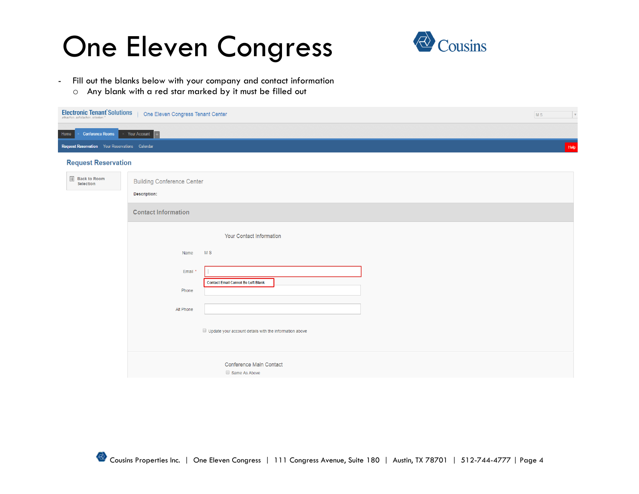

- Fill out the blanks below with your company and contact information
	- o Any blank with a red star marked by it must be filled out

| <b>Electronic Tenant Solutions</b>             | One Eleven Congress Tenant Center                 |                                                               | MS<br>$\mathbf v$ |
|------------------------------------------------|---------------------------------------------------|---------------------------------------------------------------|-------------------|
| <b>Conference Rooms</b><br>Home                | Your Account                                      |                                                               |                   |
| Request Reservation Your Reservations Calendar |                                                   |                                                               | Help              |
| <b>Request Reservation</b>                     |                                                   |                                                               |                   |
| <b>Back to Room</b><br>Selection               | <b>Building Conference Center</b><br>Description: |                                                               |                   |
|                                                | <b>Contact Information</b>                        |                                                               |                   |
|                                                |                                                   | <b>Your Contact Information</b>                               |                   |
|                                                | Name                                              | M <sub>S</sub>                                                |                   |
|                                                | Email *                                           |                                                               |                   |
|                                                | Phone                                             | <b>Contact Email Cannot Be Left Blank</b>                     |                   |
|                                                | Alt Phone                                         |                                                               |                   |
|                                                |                                                   | $\Box$ Update your account details with the information above |                   |
|                                                |                                                   | <b>Conference Main Contact</b><br>Same As Above               |                   |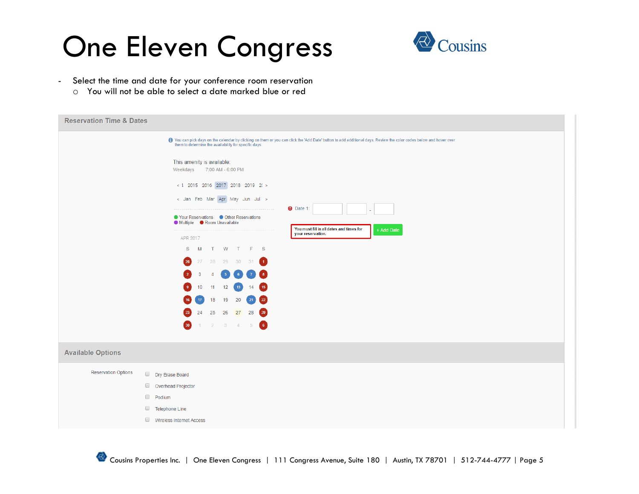

- Select the time and date for your conference room reservation
	- o You will not be able to select a date marked blue or red

| <b>Reservation Time &amp; Dates</b>                                                                                                                                                                                         |                                                               |  |  |  |  |  |
|-----------------------------------------------------------------------------------------------------------------------------------------------------------------------------------------------------------------------------|---------------------------------------------------------------|--|--|--|--|--|
| 1 You can pick days on the calendar by clicking on them or you can click the 'Add Date' button to add additional days. Review the color codes below and hover over<br>them to determine the availability for specific days. |                                                               |  |  |  |  |  |
| This amenity is available:<br>Weekdays 7:00 AM - 6:00 PM                                                                                                                                                                    |                                                               |  |  |  |  |  |
| $< 1$ 2015 2016 2017 2018 2019 2( >                                                                                                                                                                                         |                                                               |  |  |  |  |  |
| < Jan Feb Mar Apr May Jun Jul >                                                                                                                                                                                             |                                                               |  |  |  |  |  |
| ● Your Reservations ● Other Reservations<br>● Multiple ● Room Unavailable                                                                                                                                                   | $\bullet$ Date 1:<br>You must fill in all dates and times for |  |  |  |  |  |
| -------------------<br>APR 2017                                                                                                                                                                                             | + Add Date<br>your reservation.                               |  |  |  |  |  |
| S M T W T F S                                                                                                                                                                                                               |                                                               |  |  |  |  |  |
| 27 28 29 30 31 1<br>26                                                                                                                                                                                                      |                                                               |  |  |  |  |  |
| $\overline{4}$<br>$-5$                                                                                                                                                                                                      |                                                               |  |  |  |  |  |
| 11<br>14<br>10<br>12<br>15<br>13                                                                                                                                                                                            |                                                               |  |  |  |  |  |
| 18<br>19<br>20<br>21<br>22                                                                                                                                                                                                  |                                                               |  |  |  |  |  |
| 24<br>25    26    27    28<br>$\left( 29\right)$                                                                                                                                                                            |                                                               |  |  |  |  |  |
| $\left( 6 \right)$<br>$2 \quad 3 \quad 4 \quad 5$<br>30                                                                                                                                                                     |                                                               |  |  |  |  |  |
| <b>Available Options</b>                                                                                                                                                                                                    |                                                               |  |  |  |  |  |
| <b>Reservation Options</b><br>Dry Erase Board                                                                                                                                                                               |                                                               |  |  |  |  |  |
| Overhead Projector                                                                                                                                                                                                          |                                                               |  |  |  |  |  |
| Podium                                                                                                                                                                                                                      |                                                               |  |  |  |  |  |
| Telephone Line                                                                                                                                                                                                              |                                                               |  |  |  |  |  |
| Wireless Internet Access                                                                                                                                                                                                    |                                                               |  |  |  |  |  |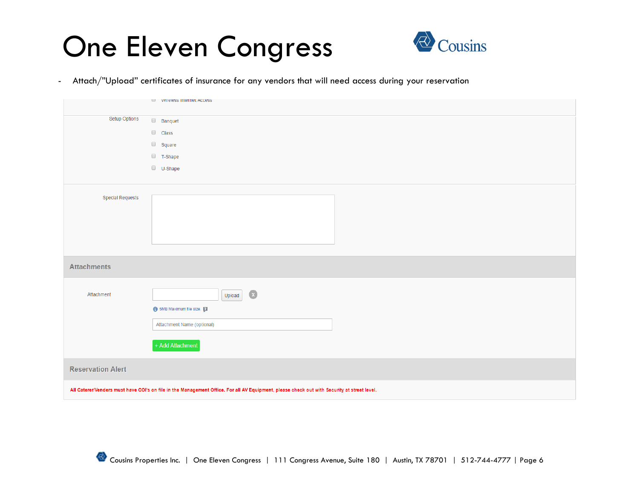

- Attach/"Upload" certificates of insurance for any vendors that will need access during your reservation

|                                                                                                                                             | $\Box$ vireless internet access |  |  |
|---------------------------------------------------------------------------------------------------------------------------------------------|---------------------------------|--|--|
| Setup Options                                                                                                                               | $\Box$ Banquet                  |  |  |
|                                                                                                                                             | $\Box$ Class                    |  |  |
|                                                                                                                                             | $\Box$ Square                   |  |  |
|                                                                                                                                             | $\Box$ T-Shape                  |  |  |
|                                                                                                                                             | $\Box$ U-Shape                  |  |  |
|                                                                                                                                             |                                 |  |  |
| Special Requests                                                                                                                            |                                 |  |  |
|                                                                                                                                             |                                 |  |  |
|                                                                                                                                             |                                 |  |  |
|                                                                                                                                             |                                 |  |  |
|                                                                                                                                             |                                 |  |  |
| <b>Attachments</b>                                                                                                                          |                                 |  |  |
|                                                                                                                                             |                                 |  |  |
| Attachment                                                                                                                                  | $\alpha$<br>Upload              |  |  |
|                                                                                                                                             | 6 5MB Maximum file size.        |  |  |
|                                                                                                                                             | Attachment Name (optional)      |  |  |
|                                                                                                                                             |                                 |  |  |
|                                                                                                                                             | + Add Attachment                |  |  |
| <b>Reservation Alert</b>                                                                                                                    |                                 |  |  |
|                                                                                                                                             |                                 |  |  |
| All Caterer/Venders must have COI's on file in the Management Office. For all AV Equipment, please check out with Security at street level. |                                 |  |  |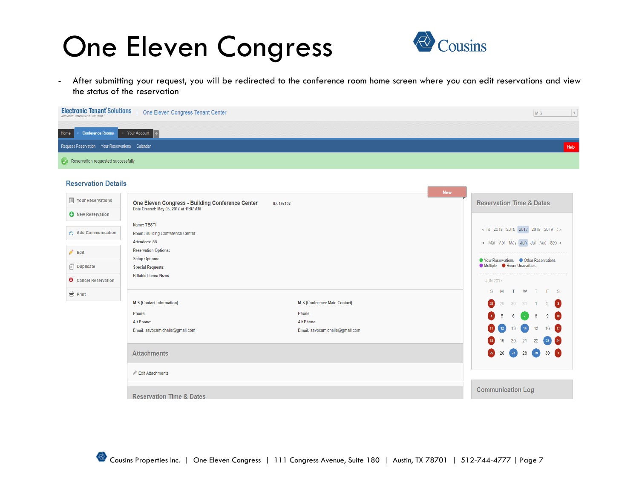

- After submitting your request, you will be redirected to the conference room home screen where you can edit reservations and view the status of the reservation

| <b>Electronic Tenant Solutions</b><br>One Eleven Congress Tenant Center    | <b>MS</b> |
|----------------------------------------------------------------------------|-----------|
| <b>Conference Rooms</b> $\longrightarrow$ Your Account $\boxed{+}$<br>Home |           |
| Request Reservation Your Reservations Calendar                             | Help      |
| $\left\langle \right\rangle$ Reservation requested successfully            |           |

#### **Reservation Details**

| <b>I</b> Your Reservations  | <b>New</b><br>One Eleven Congress - Building Conference Center<br>ID: 197132 |                                 | <b>Reservation Time &amp; Dates</b>      |
|-----------------------------|------------------------------------------------------------------------------|---------------------------------|------------------------------------------|
| <b>O</b> New Reservation    | Date Created: May 03, 2017 at 11:07 AM                                       |                                 |                                          |
|                             | Name: TEST!                                                                  |                                 | < 14 2015 2016 2017 2018 2019 : >        |
| Add Communication           | Room: Building Conference Center                                             |                                 |                                          |
|                             | Attendees: 55                                                                |                                 | < Mar Apr May Jun Jul Aug Sep >          |
| $\triangle$ Edit            | <b>Reservation Options:</b>                                                  |                                 |                                          |
|                             | <b>Setup Options:</b>                                                        |                                 | ● Your Reservations ● Other Reservations |
| <b>同</b> Duplicate          | <b>Special Requests:</b>                                                     |                                 | Multiple Room Unavailable                |
| <b>3</b> Cancel Reservation | <b>Billable Items: None</b>                                                  |                                 | <b>JUN 2017</b>                          |
| <b>A</b> Print              |                                                                              |                                 | S M T W T F S                            |
|                             | <b>M S (Contact Information)</b>                                             | M S (Conference Main Contact)   | 28 29 30 31 1 2 3                        |
|                             | Phone:                                                                       | Phone:                          | 4 5 6 7 8 9 10                           |
|                             | <b>Alt Phone:</b>                                                            | <b>Alt Phone:</b>               |                                          |
|                             | Email: savocamichelle@gmail.com                                              | Email: savocamichelle@gmail.com | 11 12 13 14 15 16 17                     |
|                             |                                                                              |                                 | 18 19 20 21 22 23 24                     |
|                             | <b>Attachments</b>                                                           |                                 | 25 26 27 28 29 30 1                      |
|                             | Edit Attachments                                                             |                                 |                                          |
|                             | <b>Reservation Time &amp; Dates</b>                                          |                                 | <b>Communication Log</b>                 |